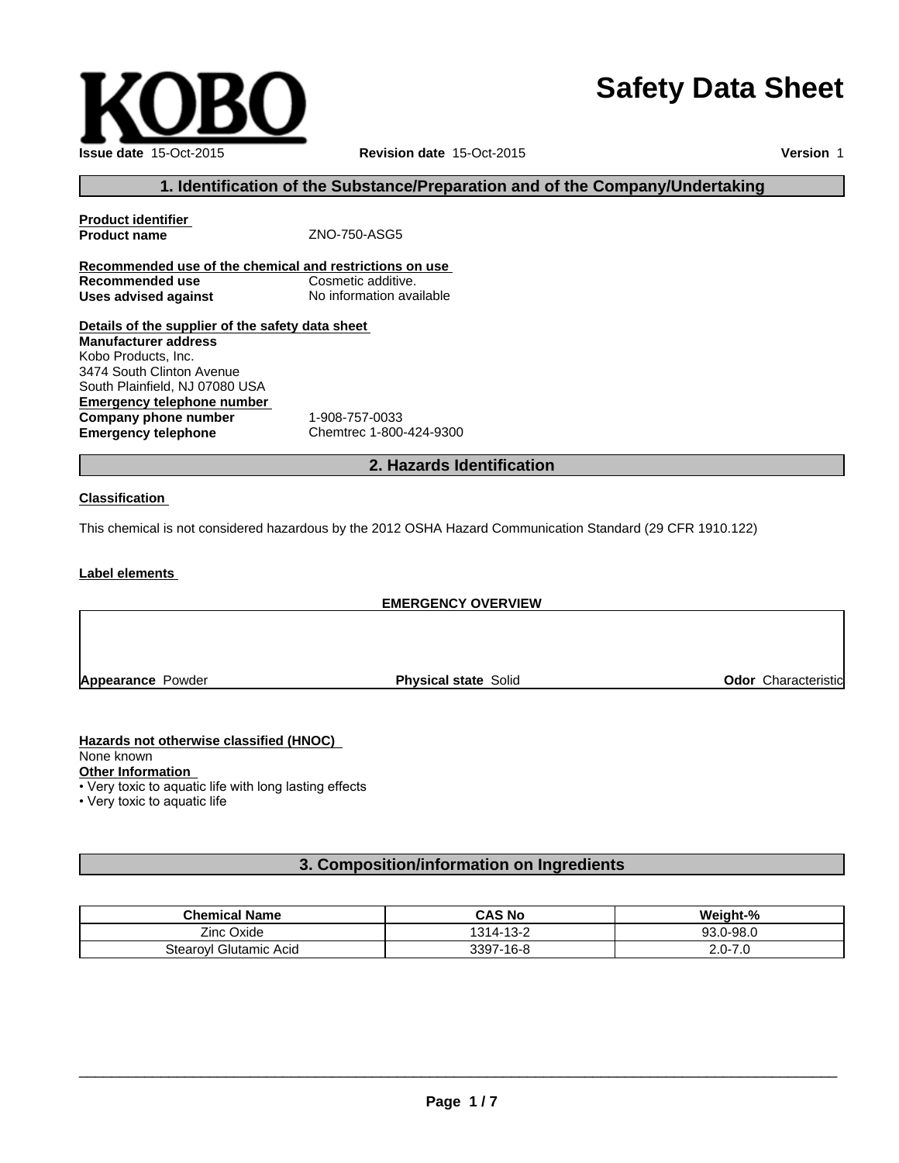# **Safety Data Sheet**

**Version** 1

# **1. Identification of the Substance/Preparation and of the Company/Undertaking**

| <b>Product identifier</b>                               |                          |
|---------------------------------------------------------|--------------------------|
| <b>Product name</b>                                     | ZNO-750-ASG5             |
|                                                         |                          |
| Recommended use of the chemical and restrictions on use |                          |
| Recommended use                                         | Cosmetic additive.       |
| Uses advised against                                    | No information available |
| Details of the supplier of the safety data sheet        |                          |
| <b>Manufacturer address</b>                             |                          |
| Kobo Products, Inc.                                     |                          |
| 3474 South Clinton Avenue                               |                          |
| South Plainfield, NJ 07080 USA                          |                          |
| Emergency telephone number                              |                          |
| Company phone number                                    | 1-908-757-0033           |
| <b>Emergency telephone</b>                              | Chemtrec 1-800-424-9300  |
|                                                         |                          |

# **2. Hazards Identification**

### **Classification**

This chemical is not considered hazardous by the 2012 OSHA Hazard Communication Standard (29 CFR 1910.122)

**Label elements** 

# **EMERGENCY OVERVIEW**

**Appearance Powder <b>Physical state** Solid **Physical state Solid Physical state Solid Physical Solid Physical state** Solid

**Hazards not otherwise classified (HNOC)**  None known **Other Information** • Very toxic to aquatic life with long lasting effects

• Very toxic to aquatic life

# **3. Composition/information on Ingredients**

| <b>Chemical Name</b>         | <b>CAS No</b>                 | Weiaht-%                     |
|------------------------------|-------------------------------|------------------------------|
| <b>Zinc</b><br>Oxide         | $\sqrt{2}$<br>1314.<br>∕ -د ۱ | 0-98.0<br>しいい                |
| l Glutamic Acid<br>⊺tearovlر | 7-16-8<br>3397                | $\sim$<br>. .<br>ى. ،<br>2.U |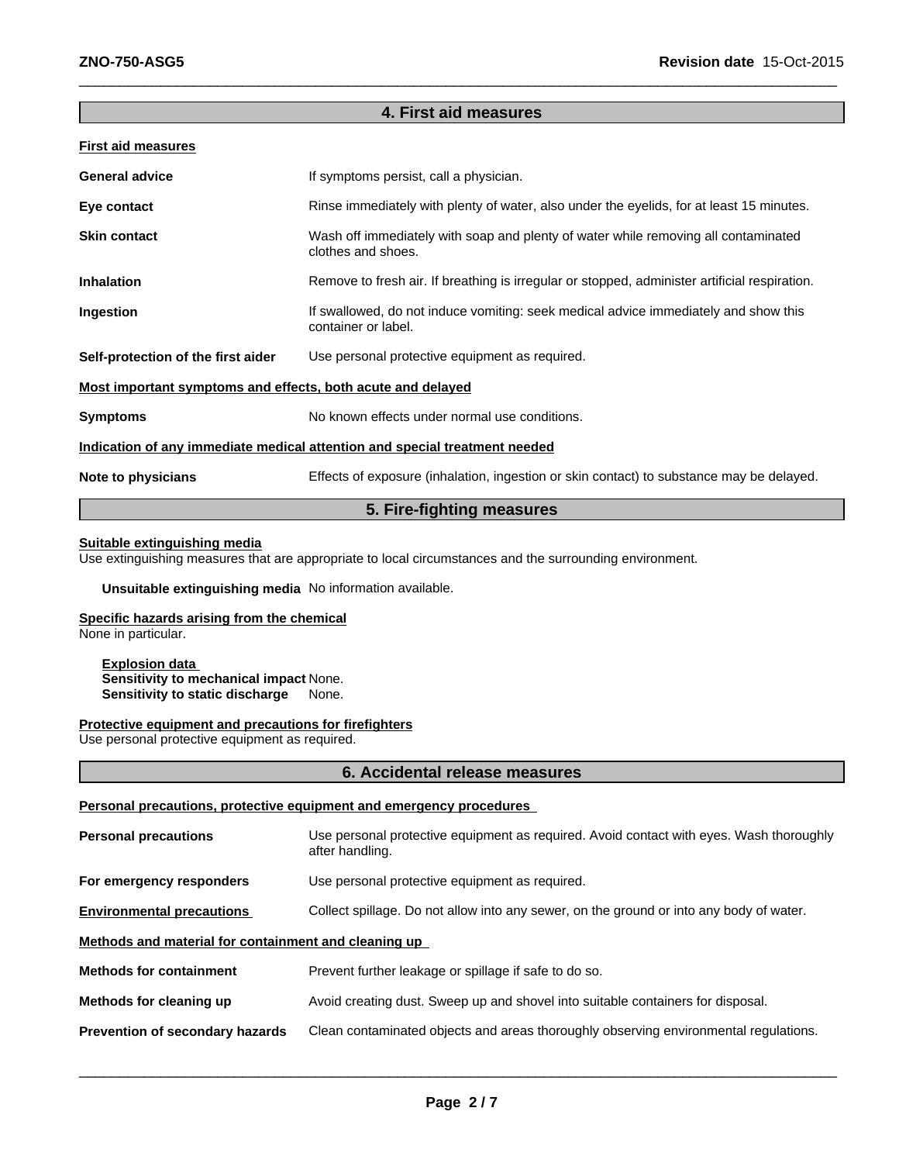# **4. First aid measures**

 $\overline{\phantom{a}}$  ,  $\overline{\phantom{a}}$  ,  $\overline{\phantom{a}}$  ,  $\overline{\phantom{a}}$  ,  $\overline{\phantom{a}}$  ,  $\overline{\phantom{a}}$  ,  $\overline{\phantom{a}}$  ,  $\overline{\phantom{a}}$  ,  $\overline{\phantom{a}}$  ,  $\overline{\phantom{a}}$  ,  $\overline{\phantom{a}}$  ,  $\overline{\phantom{a}}$  ,  $\overline{\phantom{a}}$  ,  $\overline{\phantom{a}}$  ,  $\overline{\phantom{a}}$  ,  $\overline{\phantom{a}}$ 

### **First aid measures**

| <b>General advice</b>                                                      | If symptoms persist, call a physician.                                                                     |  |
|----------------------------------------------------------------------------|------------------------------------------------------------------------------------------------------------|--|
| Eye contact                                                                | Rinse immediately with plenty of water, also under the eyelids, for at least 15 minutes.                   |  |
| <b>Skin contact</b>                                                        | Wash off immediately with soap and plenty of water while removing all contaminated<br>clothes and shoes.   |  |
| <b>Inhalation</b>                                                          | Remove to fresh air. If breathing is irregular or stopped, administer artificial respiration.              |  |
| Ingestion                                                                  | If swallowed, do not induce vomiting: seek medical advice immediately and show this<br>container or label. |  |
| Self-protection of the first aider                                         | Use personal protective equipment as required.                                                             |  |
| Most important symptoms and effects, both acute and delayed                |                                                                                                            |  |
| <b>Symptoms</b>                                                            | No known effects under normal use conditions.                                                              |  |
| Indication of any immediate medical attention and special treatment needed |                                                                                                            |  |
| Note to physicians                                                         | Effects of exposure (inhalation, ingestion or skin contact) to substance may be delayed.                   |  |

# **5. Fire-fighting measures**

# **Suitable extinguishing media**

Use extinguishing measures that are appropriate to local circumstances and the surrounding environment.

**Unsuitable extinguishing media** No information available.

### **Specific hazards arising from the chemical**

None in particular.

**Explosion data Sensitivity to mechanical impact None.<br>Sensitivity to static discharge** None. **Sensitivity to static discharge** 

### **Protective equipment and precautions for firefighters**

Use personal protective equipment as required.

# **6. Accidental release measures**

### **Personal precautions, protective equipment and emergency procedures**

| <b>Personal precautions</b>                          | Use personal protective equipment as required. Avoid contact with eyes. Wash thoroughly<br>after handling. |  |
|------------------------------------------------------|------------------------------------------------------------------------------------------------------------|--|
| For emergency responders                             | Use personal protective equipment as required.                                                             |  |
| <b>Environmental precautions</b>                     | Collect spillage. Do not allow into any sewer, on the ground or into any body of water.                    |  |
| Methods and material for containment and cleaning up |                                                                                                            |  |
| <b>Methods for containment</b>                       | Prevent further leakage or spillage if safe to do so.                                                      |  |
| Methods for cleaning up                              | Avoid creating dust. Sweep up and shovel into suitable containers for disposal.                            |  |
| Prevention of secondary hazards                      | Clean contaminated objects and areas thoroughly observing environmental regulations.                       |  |

 $\overline{\phantom{a}}$  ,  $\overline{\phantom{a}}$  ,  $\overline{\phantom{a}}$  ,  $\overline{\phantom{a}}$  ,  $\overline{\phantom{a}}$  ,  $\overline{\phantom{a}}$  ,  $\overline{\phantom{a}}$  ,  $\overline{\phantom{a}}$  ,  $\overline{\phantom{a}}$  ,  $\overline{\phantom{a}}$  ,  $\overline{\phantom{a}}$  ,  $\overline{\phantom{a}}$  ,  $\overline{\phantom{a}}$  ,  $\overline{\phantom{a}}$  ,  $\overline{\phantom{a}}$  ,  $\overline{\phantom{a}}$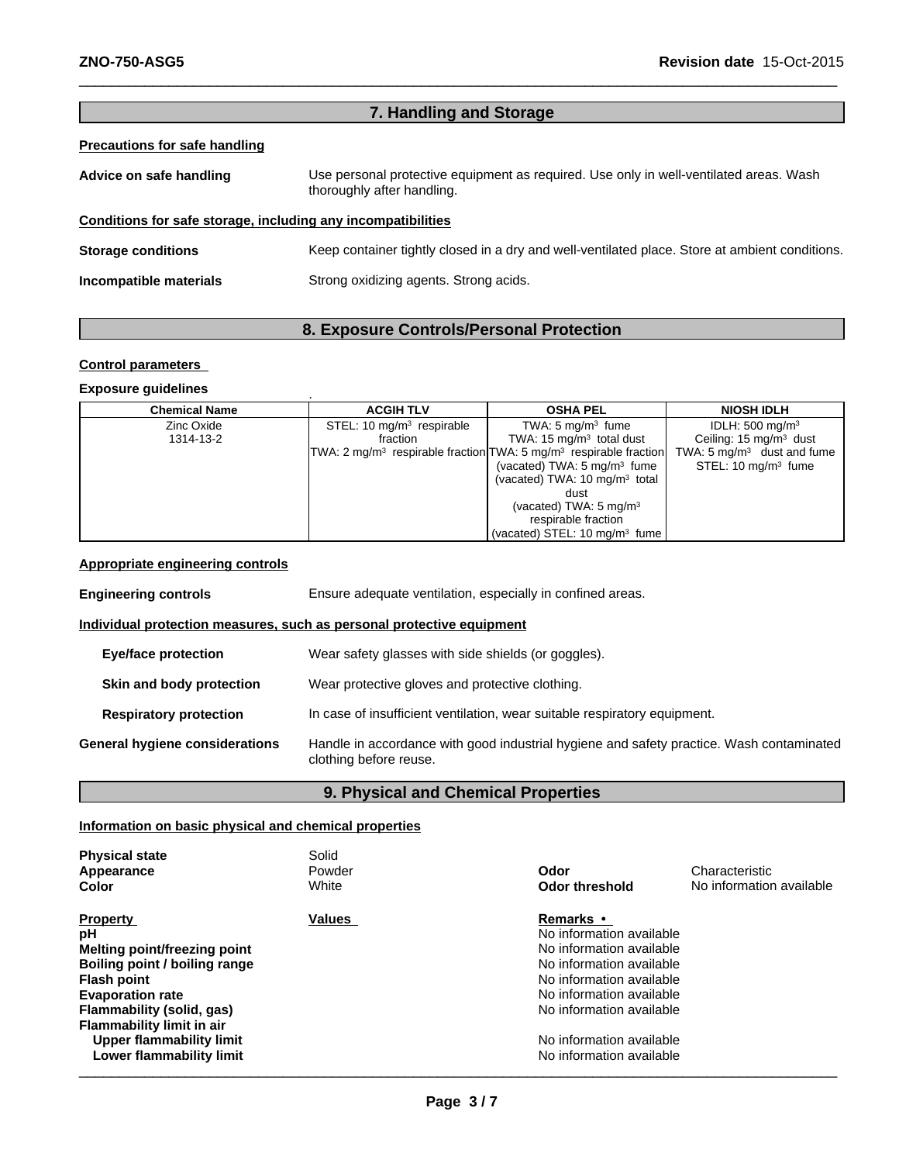# **7. Handling and Storage**

 $\_$  ,  $\_$  ,  $\_$  ,  $\_$  ,  $\_$  ,  $\_$  ,  $\_$  ,  $\_$  ,  $\_$  ,  $\_$  ,  $\_$  ,  $\_$  ,  $\_$  ,  $\_$  ,  $\_$  ,  $\_$  ,  $\_$  ,  $\_$  ,  $\_$  ,  $\_$  ,  $\_$  ,  $\_$  ,  $\_$  ,  $\_$  ,  $\_$  ,  $\_$  ,  $\_$  ,  $\_$  ,  $\_$  ,  $\_$  ,  $\_$  ,  $\_$  ,  $\_$  ,  $\_$  ,  $\_$  ,  $\_$  ,  $\_$  ,

# **Precautions for safe handling**

| Advice on safe handling                                      | Use personal protective equipment as required. Use only in well-ventilated areas. Wash<br>thoroughly after handling. |  |
|--------------------------------------------------------------|----------------------------------------------------------------------------------------------------------------------|--|
| Conditions for safe storage, including any incompatibilities |                                                                                                                      |  |
| <b>Storage conditions</b>                                    | Keep container tightly closed in a dry and well-ventilated place. Store at ambient conditions.                       |  |
| Incompatible materials                                       | Strong oxidizing agents. Strong acids.                                                                               |  |

# **8. Exposure Controls/Personal Protection**

### **Control parameters**

# **Exposure guidelines** .

| <b>Chemical Name</b> | <b>ACGIH TLV</b>            | <b>OSHA PEL</b>                                                       | <b>NIOSH IDLH</b>                     |
|----------------------|-----------------------------|-----------------------------------------------------------------------|---------------------------------------|
| Zinc Oxide           | STEL: 10 $mq/m3$ respirable | TWA: $5 \text{ mg/m}^3$ fume                                          | IDLH: $500 \text{ mg/m}^3$            |
| 1314-13-2            | fraction                    | TWA: $15 \text{ mg/m}^3$ total dust                                   | Ceiling: $15 \text{ mg/m}^3$ dust     |
|                      |                             | $TWA: 2 mg/m3$ respirable fraction $TWA: 5 mg/m3$ respirable fraction | TWA: $5 \text{ mg/m}^3$ dust and fume |
|                      |                             | (vacated) TWA: $5 \text{ mg/m}^3$ fume                                | STEL: $10 \text{ mg/m}^3$ fume        |
|                      |                             | (vacated) TWA: $10 \text{ mg/m}^3$ total                              |                                       |
|                      |                             | dust                                                                  |                                       |
|                      |                             | (vacated) TWA: $5 \text{ mg/m}^3$                                     |                                       |
|                      |                             | respirable fraction                                                   |                                       |
|                      |                             | (vacated) STEL: 10 mg/m <sup>3</sup> fume                             |                                       |

# **Appropriate engineering controls**

| <b>Engineering controls</b>                                           | Ensure adequate ventilation, especially in confined areas.                                                         |  |  |
|-----------------------------------------------------------------------|--------------------------------------------------------------------------------------------------------------------|--|--|
| Individual protection measures, such as personal protective equipment |                                                                                                                    |  |  |
| <b>Eye/face protection</b>                                            | Wear safety glasses with side shields (or goggles).                                                                |  |  |
| Skin and body protection                                              | Wear protective gloves and protective clothing.                                                                    |  |  |
| <b>Respiratory protection</b>                                         | In case of insufficient ventilation, wear suitable respiratory equipment.                                          |  |  |
| General hygiene considerations                                        | Handle in accordance with good industrial hygiene and safety practice. Wash contaminated<br>clothing before reuse. |  |  |

# **9. Physical and Chemical Properties**

# **Information on basic physical and chemical properties**

| <b>Physical state</b><br>Appearance<br>Color                                                                                                                                                                                                                     | Solid<br>Powder<br>White | Odor<br><b>Odor threshold</b>                                                                                                                                                                                                                    | Characteristic<br>No information available |
|------------------------------------------------------------------------------------------------------------------------------------------------------------------------------------------------------------------------------------------------------------------|--------------------------|--------------------------------------------------------------------------------------------------------------------------------------------------------------------------------------------------------------------------------------------------|--------------------------------------------|
| <b>Property</b><br>рH<br>Melting point/freezing point<br>Boiling point / boiling range<br><b>Flash point</b><br><b>Evaporation rate</b><br>Flammability (solid, gas)<br>Flammability limit in air<br><b>Upper flammability limit</b><br>Lower flammability limit | <b>Values</b>            | <b>Remarks</b> •<br>No information available<br>No information available<br>No information available<br>No information available<br>No information available<br>No information available<br>No information available<br>No information available |                                            |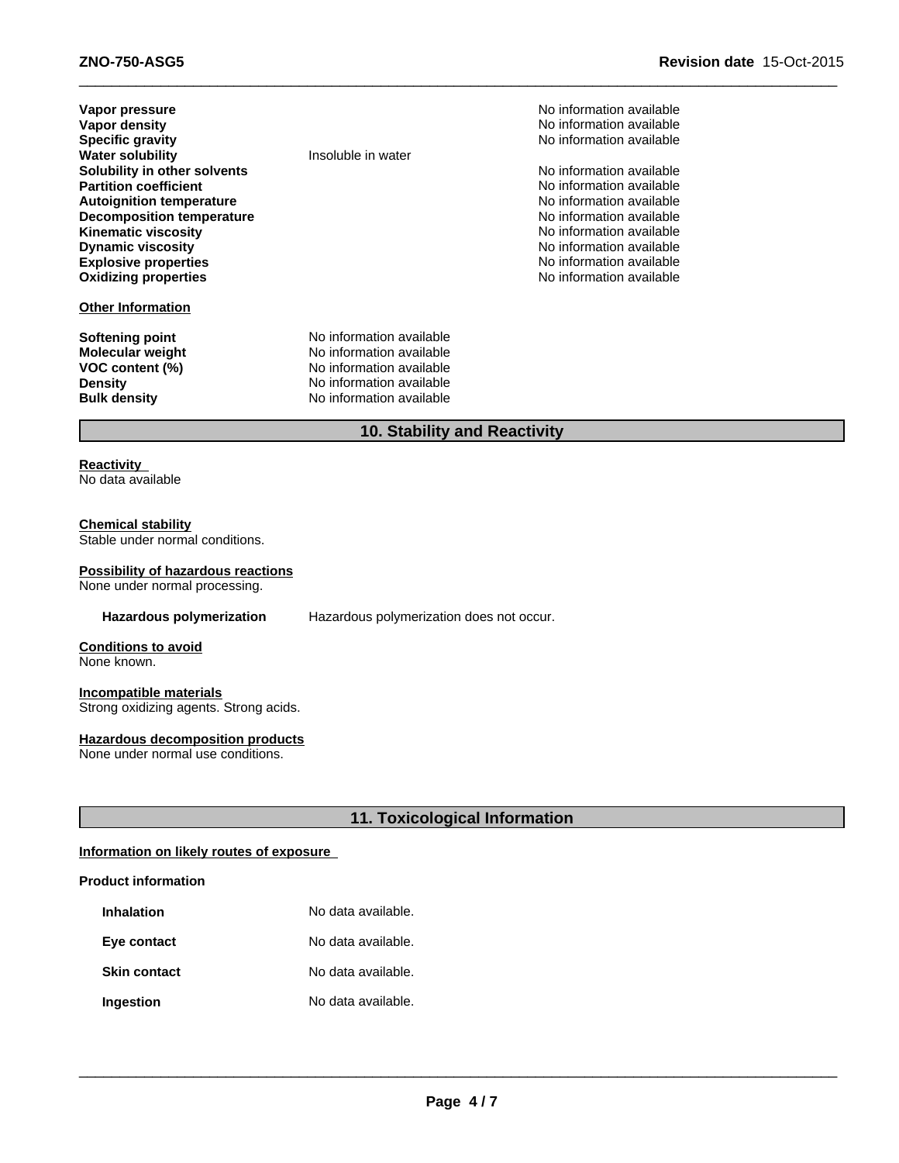| Vapor pressure<br>Vapor density<br><b>Specific gravity</b><br><b>Water solubility</b><br>Solubility in other solvents<br><b>Partition coefficient</b><br><b>Autoignition temperature</b> | Insoluble in water                                                                                                                       | No information available<br>No information available<br>No information available<br>No information available<br>No information available<br>No information available |
|------------------------------------------------------------------------------------------------------------------------------------------------------------------------------------------|------------------------------------------------------------------------------------------------------------------------------------------|----------------------------------------------------------------------------------------------------------------------------------------------------------------------|
| Decomposition temperature<br><b>Kinematic viscosity</b><br><b>Dynamic viscosity</b><br><b>Explosive properties</b><br><b>Oxidizing properties</b><br><b>Other Information</b>            |                                                                                                                                          | No information available<br>No information available<br>No information available<br>No information available<br>No information available                             |
| <b>Softening point</b><br><b>Molecular weight</b><br>VOC content (%)<br><b>Density</b><br><b>Bulk density</b>                                                                            | No information available<br>No information available<br>No information available<br>No information available<br>No information available |                                                                                                                                                                      |

# **10. Stability and Reactivity**

 $\_$  ,  $\_$  ,  $\_$  ,  $\_$  ,  $\_$  ,  $\_$  ,  $\_$  ,  $\_$  ,  $\_$  ,  $\_$  ,  $\_$  ,  $\_$  ,  $\_$  ,  $\_$  ,  $\_$  ,  $\_$  ,  $\_$  ,  $\_$  ,  $\_$  ,  $\_$  ,  $\_$  ,  $\_$  ,  $\_$  ,  $\_$  ,  $\_$  ,  $\_$  ,  $\_$  ,  $\_$  ,  $\_$  ,  $\_$  ,  $\_$  ,  $\_$  ,  $\_$  ,  $\_$  ,  $\_$  ,  $\_$  ,  $\_$  ,

# **Reactivity**

No data available

# **Chemical stability**

Stable under normal conditions.

### **Possibility of hazardous reactions**

None under normal processing.

**Hazardous polymerization** Hazardous polymerization does not occur.

**Conditions to avoid** None known.

### **Incompatible materials** Strong oxidizing agents. Strong acids.

### **Hazardous decomposition products**

None under normal use conditions.

# **11. Toxicological Information**

# **Information on likely routes of exposure**

# **Product information**

| <b>Inhalation</b>   | No data available. |
|---------------------|--------------------|
| Eye contact         | No data available. |
| <b>Skin contact</b> | No data available. |
| Ingestion           | No data available. |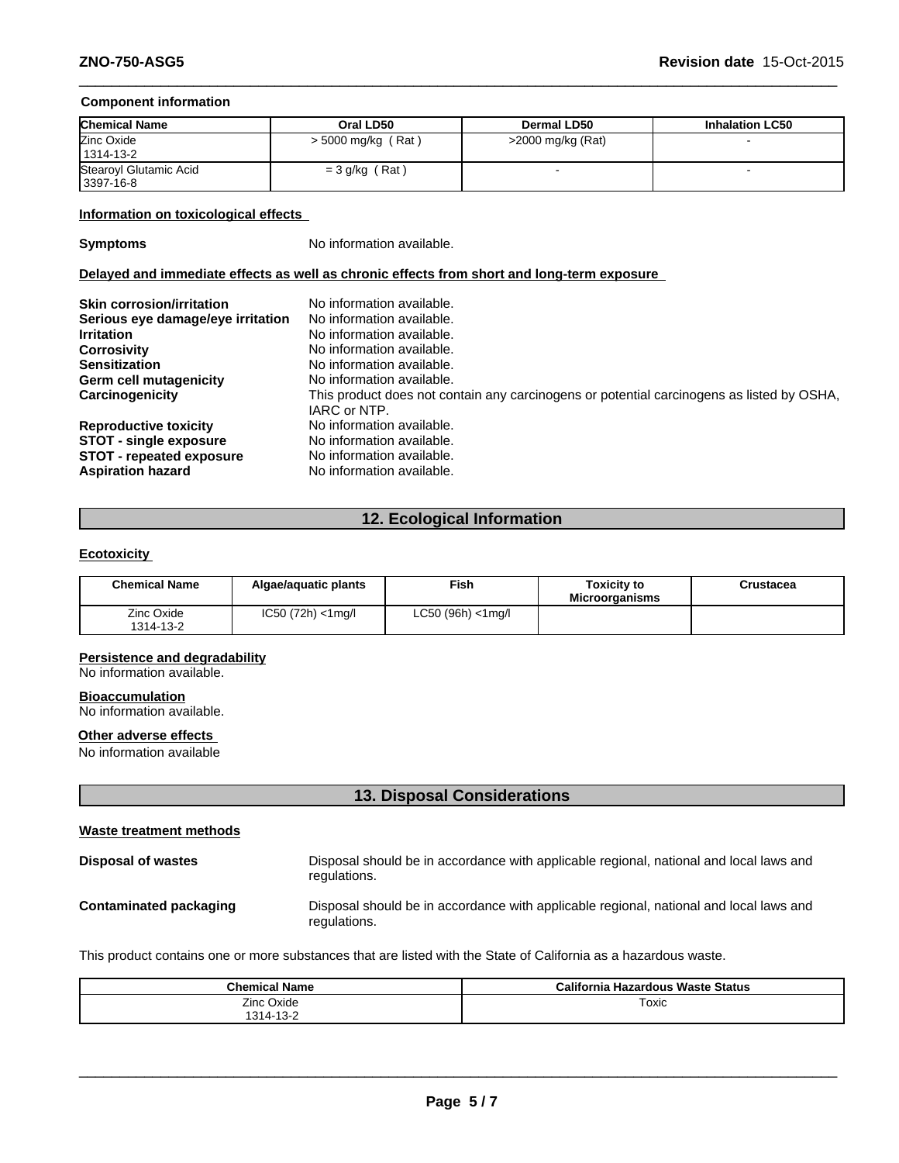### **Component information**

| <b>Chemical Name</b>   | Oral LD50            | <b>Dermal LD50</b>  | <b>Inhalation LC50</b> |
|------------------------|----------------------|---------------------|------------------------|
| Zinc Oxide             | $>$ 5000 mg/kg (Rat) | $>2000$ mg/kg (Rat) |                        |
| 1314-13-2              |                      |                     |                        |
| Stearoyl Glutamic Acid | $=$ 3 g/kg (Rat)     |                     |                        |
| 3397-16-8              |                      |                     |                        |

 $\_$  ,  $\_$  ,  $\_$  ,  $\_$  ,  $\_$  ,  $\_$  ,  $\_$  ,  $\_$  ,  $\_$  ,  $\_$  ,  $\_$  ,  $\_$  ,  $\_$  ,  $\_$  ,  $\_$  ,  $\_$  ,  $\_$  ,  $\_$  ,  $\_$  ,  $\_$  ,  $\_$  ,  $\_$  ,  $\_$  ,  $\_$  ,  $\_$  ,  $\_$  ,  $\_$  ,  $\_$  ,  $\_$  ,  $\_$  ,  $\_$  ,  $\_$  ,  $\_$  ,  $\_$  ,  $\_$  ,  $\_$  ,  $\_$  ,

### **Information on toxicological effects**

**Symptoms** No information available.

# **Delayed and immediate effects as well as chronic effects from short and long-term exposure**

| <b>Skin corrosion/irritation</b><br>Serious eye damage/eye irritation<br><b>Irritation</b><br><b>Corrosivity</b><br><b>Sensitization</b><br>Germ cell mutagenicity<br>Carcinogenicity | No information available.<br>No information available.<br>No information available.<br>No information available.<br>No information available.<br>No information available.<br>This product does not contain any carcinogens or potential carcinogens as listed by OSHA,<br>IARC or NTP. |
|---------------------------------------------------------------------------------------------------------------------------------------------------------------------------------------|-----------------------------------------------------------------------------------------------------------------------------------------------------------------------------------------------------------------------------------------------------------------------------------------|
| <b>Reproductive toxicity</b>                                                                                                                                                          | No information available.                                                                                                                                                                                                                                                               |
| <b>STOT - single exposure</b>                                                                                                                                                         | No information available.                                                                                                                                                                                                                                                               |
| <b>STOT - repeated exposure</b>                                                                                                                                                       | No information available.                                                                                                                                                                                                                                                               |
| <b>Aspiration hazard</b>                                                                                                                                                              | No information available.                                                                                                                                                                                                                                                               |

# **12. Ecological Information**

### **Ecotoxicity**

| <b>Chemical Name</b>    | Algae/aguatic plants  | Fish              | Toxicitv to<br><b>Microorganisms</b> | Crustacea |
|-------------------------|-----------------------|-------------------|--------------------------------------|-----------|
| Zinc Oxide<br>1314-13-2 | $IC50 (72h) < 1$ mg/l | LC50 (96h) <1mg/l |                                      |           |

### **Persistence and degradability**

No information available.

# **Bioaccumulation**

No information available.

# **Other adverse effects**

No information available

# **13. Disposal Considerations**

| Waste treatment methods       |                                                                                                        |
|-------------------------------|--------------------------------------------------------------------------------------------------------|
| Disposal of wastes            | Disposal should be in accordance with applicable regional, national and local laws and<br>regulations. |
| <b>Contaminated packaging</b> | Disposal should be in accordance with applicable regional, national and local laws and<br>regulations. |

This product contains one or more substances that are listed with the State of California as a hazardous waste.

| <b>Chemical Name</b>                                  | California<br>a Hazardous Waste Status |
|-------------------------------------------------------|----------------------------------------|
| Zinc Oxide<br>$\sqrt{2}$<br>1 O 1 1<br>$\cdots$<br>-- | Toxic                                  |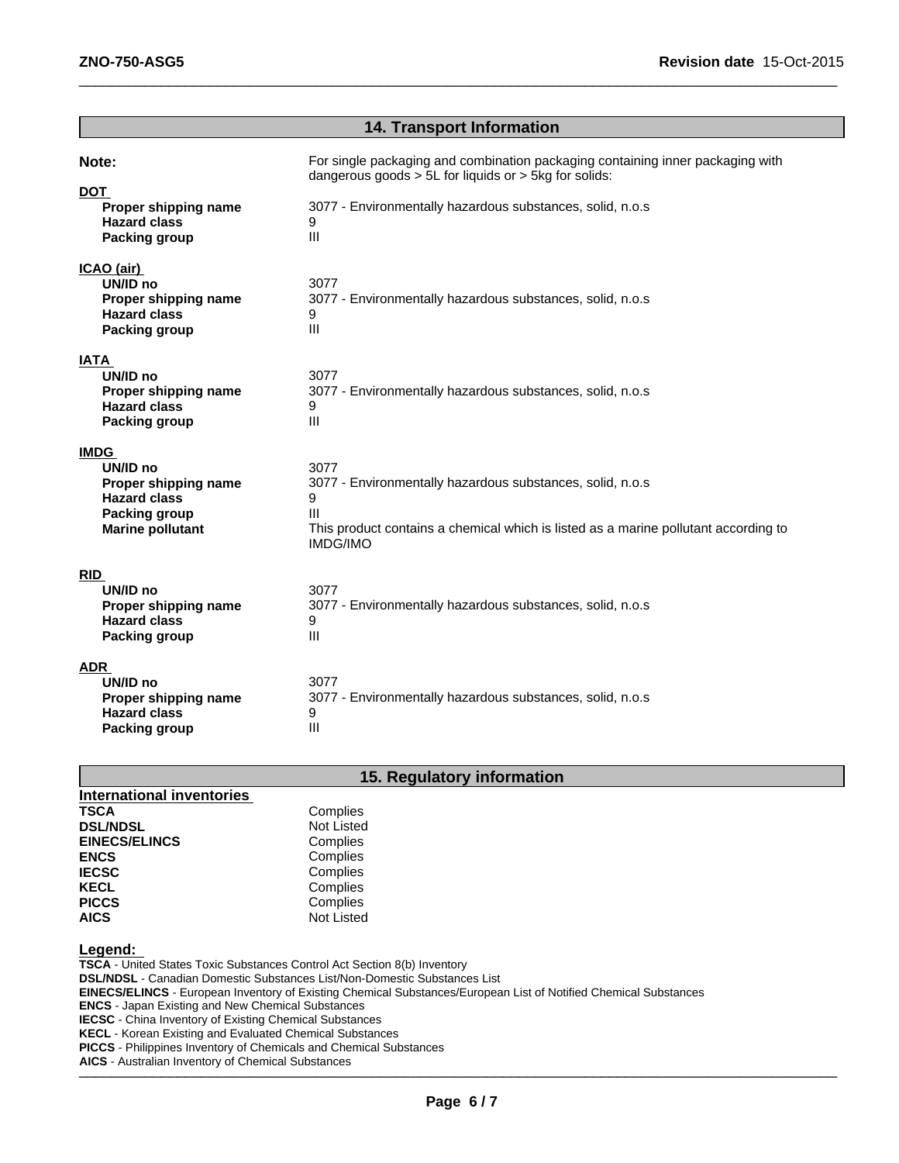|                                                                                                                           | <b>14. Transport Information</b>                                                                                                                                                                                                |
|---------------------------------------------------------------------------------------------------------------------------|---------------------------------------------------------------------------------------------------------------------------------------------------------------------------------------------------------------------------------|
| Note:<br><b>DOT</b><br>Proper shipping name<br><b>Hazard class</b><br><b>Packing group</b>                                | For single packaging and combination packaging containing inner packaging with<br>dangerous goods $> 5L$ for liquids or $> 5kg$ for solids:<br>3077 - Environmentally hazardous substances, solid, n.o.s<br>9<br>$\mathbf{III}$ |
| ICAO (air)<br>UN/ID no<br>Proper shipping name<br><b>Hazard class</b><br><b>Packing group</b>                             | 3077<br>3077 - Environmentally hazardous substances, solid, n.o.s<br>9<br>$\mathbf{III}$                                                                                                                                        |
| IATA<br>UN/ID no<br>Proper shipping name<br><b>Hazard class</b><br><b>Packing group</b>                                   | 3077<br>3077 - Environmentally hazardous substances, solid, n.o.s<br>9<br>$\mathbf{III}$                                                                                                                                        |
| <b>IMDG</b><br>UN/ID no<br>Proper shipping name<br><b>Hazard class</b><br><b>Packing group</b><br><b>Marine pollutant</b> | 3077<br>3077 - Environmentally hazardous substances, solid, n.o.s<br>9<br>Ш<br>This product contains a chemical which is listed as a marine pollutant according to<br><b>IMDG/IMO</b>                                           |
| <b>RID</b><br>UN/ID no<br>Proper shipping name<br><b>Hazard class</b><br><b>Packing group</b>                             | 3077<br>3077 - Environmentally hazardous substances, solid, n.o.s<br>9<br>$\mathbf{III}$                                                                                                                                        |
| ADR<br>UN/ID no<br>Proper shipping name<br><b>Hazard class</b><br><b>Packing group</b>                                    | 3077<br>3077 - Environmentally hazardous substances, solid, n.o.s<br>9<br>III                                                                                                                                                   |

 $\_$  ,  $\_$  ,  $\_$  ,  $\_$  ,  $\_$  ,  $\_$  ,  $\_$  ,  $\_$  ,  $\_$  ,  $\_$  ,  $\_$  ,  $\_$  ,  $\_$  ,  $\_$  ,  $\_$  ,  $\_$  ,  $\_$  ,  $\_$  ,  $\_$  ,  $\_$  ,  $\_$  ,  $\_$  ,  $\_$  ,  $\_$  ,  $\_$  ,  $\_$  ,  $\_$  ,  $\_$  ,  $\_$  ,  $\_$  ,  $\_$  ,  $\_$  ,  $\_$  ,  $\_$  ,  $\_$  ,  $\_$  ,  $\_$  ,

# **15. Regulatory information**

| International inventories |                   |
|---------------------------|-------------------|
| <b>TSCA</b>               | Complies          |
| <b>DSL/NDSL</b>           | <b>Not Listed</b> |
| <b>EINECS/ELINCS</b>      | Complies          |
| <b>ENCS</b>               | Complies          |
| <b>IECSC</b>              | Complies          |
| <b>KECL</b>               | Complies          |
| <b>PICCS</b>              | Complies          |
| <b>AICS</b>               | <b>Not Listed</b> |

**Legend:** 

**TSCA** - United States Toxic Substances Control Act Section 8(b) Inventory

**DSL/NDSL** - Canadian Domestic Substances List/Non-Domestic Substances List

**EINECS/ELINCS** - European Inventory of Existing Chemical Substances/European List of Notified Chemical Substances

**ENCS** - Japan Existing and New Chemical Substances

**IECSC** - China Inventory of Existing Chemical Substances

**KECL** - Korean Existing and Evaluated Chemical Substances

**PICCS** - Philippines Inventory of Chemicals and Chemical Substances

\_\_\_\_\_\_\_\_\_\_\_\_\_\_\_\_\_\_\_\_\_\_\_\_\_\_\_\_\_\_\_\_\_\_\_\_\_\_\_\_\_\_\_\_\_\_\_\_\_\_\_\_\_\_\_\_\_\_\_\_\_\_\_\_\_\_\_\_\_\_\_\_\_\_\_\_\_\_\_\_\_\_\_\_\_\_\_\_\_\_\_\_\_ **AICS** - Australian Inventory of Chemical Substances